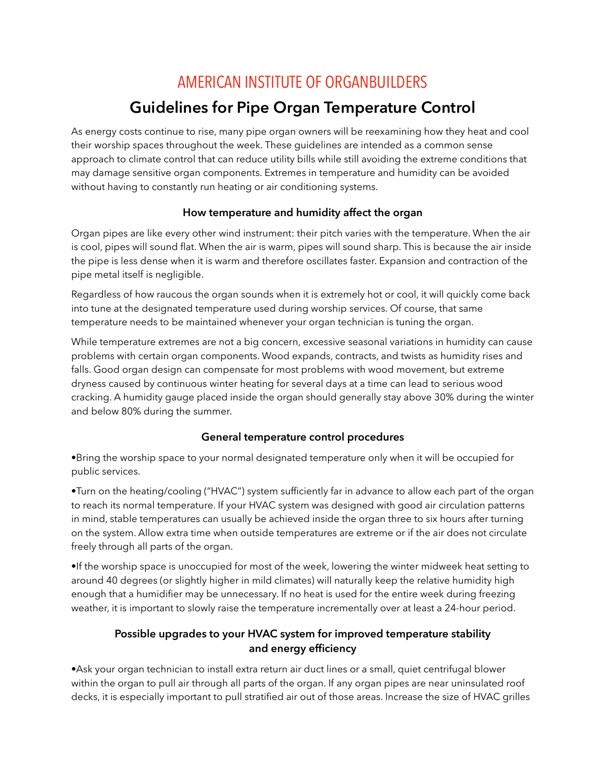# AMERICAN INSTITUTE OF ORGANBUILDERS

## **Guidelines for Pipe Organ Temperature Control**

As energy costs continue to rise, many pipe organ owners will be reexamining how they heat and cool their worship spaces throughout the week. These guidelines are intended as a common sense approach to climate control that can reduce utility bills while still avoiding the extreme conditions that may damage sensitive organ components. Extremes in temperature and humidity can be avoided without having to constantly run heating or air conditioning systems.

#### **How temperature and humidity affect the organ**

Organ pipes are like every other wind instrument: their pitch varies with the temperature. When the air is cool, pipes will sound flat. When the air is warm, pipes will sound sharp. This is because the air inside the pipe is less dense when it is warm and therefore oscillates faster. Expansion and contraction of the pipe metal itself is negligible.

Regardless of how raucous the organ sounds when it is extremely hot or cool, it will quickly come back into tune at the designated temperature used during worship services. Of course, that same temperature needs to be maintained whenever your organ technician is tuning the organ.

While temperature extremes are not a big concern, excessive seasonal variations in humidity can cause problems with certain organ components. Wood expands, contracts, and twists as humidity rises and falls. Good organ design can compensate for most problems with wood movement, but extreme dryness caused by continuous winter heating for several days at a time can lead to serious wood cracking. A humidity gauge placed inside the organ should generally stay above 30% during the winter and below 80% during the summer.

#### **General temperature control procedures**

•Bring the worship space to your normal designated temperature only when it will be occupied for public services.

•Turn on the heating/cooling ("HVAC") system sufficiently far in advance to allow each part of the organ to reach its normal temperature. If your HVAC system was designed with good air circulation patterns in mind, stable temperatures can usually be achieved inside the organ three to six hours after turning on the system. Allow extra time when outside temperatures are extreme or if the air does not circulate freely through all parts of the organ.

•If the worship space is unoccupied for most of the week, lowering the winter midweek heat setting to around 40 degrees (or slightly higher in mild climates) will naturally keep the relative humidity high enough that a humidifier may be unnecessary. If no heat is used for the entire week during freezing weather, it is important to slowly raise the temperature incrementally over at least a 24-hour period.

### **Possible upgrades to your HVAC system for improved temperature stability and energy efficiency**

•Ask your organ technician to install extra return air duct lines or a small, quiet centrifugal blower within the organ to pull air through all parts of the organ. If any organ pipes are near uninsulated roof decks, it is especially important to pull stratified air out of those areas. Increase the size of HVAC grilles